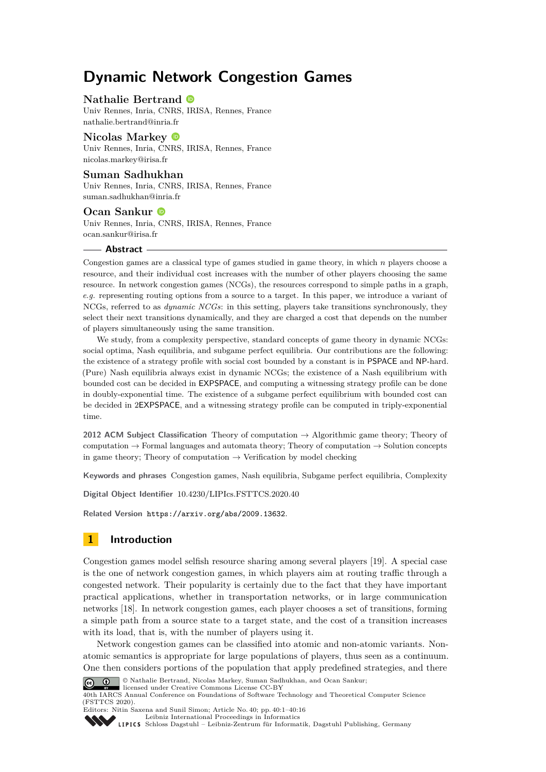# **Dynamic Network Congestion Games**

## **Nathalie Bertrand**

Univ Rennes, Inria, CNRS, IRISA, Rennes, France [nathalie.bertrand@inria.fr](mailto:nathalie.bertrand@inria.fr)

## **Nicolas Markey**

Univ Rennes, Inria, CNRS, IRISA, Rennes, France [nicolas.markey@irisa.fr](mailto:nicolas.markey@irisa.fr)

## **Suman Sadhukhan**

Univ Rennes, Inria, CNRS, IRISA, Rennes, France [suman.sadhukhan@inria.fr](mailto:suman.sadhukhan@inria.fr)

## **Ocan Sankur**

Univ Rennes, Inria, CNRS, IRISA, Rennes, France [ocan.sankur@irisa.fr](mailto:ocan.sankur@irisa.fr)

#### **Abstract**

Congestion games are a classical type of games studied in game theory, in which *n* players choose a resource, and their individual cost increases with the number of other players choosing the same resource. In network congestion games (NCGs), the resources correspond to simple paths in a graph, *e.g.* representing routing options from a source to a target. In this paper, we introduce a variant of NCGs, referred to as *dynamic NCGs*: in this setting, players take transitions synchronously, they select their next transitions dynamically, and they are charged a cost that depends on the number of players simultaneously using the same transition.

We study, from a complexity perspective, standard concepts of game theory in dynamic NCGs: social optima, Nash equilibria, and subgame perfect equilibria. Our contributions are the following: the existence of a strategy profile with social cost bounded by a constant is in PSPACE and NP-hard. (Pure) Nash equilibria always exist in dynamic NCGs; the existence of a Nash equilibrium with bounded cost can be decided in EXPSPACE, and computing a witnessing strategy profile can be done in doubly-exponential time. The existence of a subgame perfect equilibrium with bounded cost can be decided in 2EXPSPACE, and a witnessing strategy profile can be computed in triply-exponential time.

**2012 ACM Subject Classification** Theory of computation → Algorithmic game theory; Theory of computation  $\rightarrow$  Formal languages and automata theory; Theory of computation  $\rightarrow$  Solution concepts in game theory; Theory of computation  $\rightarrow$  Verification by model checking

**Keywords and phrases** Congestion games, Nash equilibria, Subgame perfect equilibria, Complexity

**Digital Object Identifier** [10.4230/LIPIcs.FSTTCS.2020.40](https://doi.org/10.4230/LIPIcs.FSTTCS.2020.40)

**Related Version** <https://arxiv.org/abs/2009.13632>.

# **1 Introduction**

Congestion games model selfish resource sharing among several players [\[19\]](#page-15-0). A special case is the one of network congestion games, in which players aim at routing traffic through a congested network. Their popularity is certainly due to the fact that they have important practical applications, whether in transportation networks, or in large communication networks [\[18\]](#page-15-1). In network congestion games, each player chooses a set of transitions, forming a simple path from a source state to a target state, and the cost of a transition increases with its load, that is, with the number of players using it.

Network congestion games can be classified into atomic and non-atomic variants. Nonatomic semantics is appropriate for large populations of players, thus seen as a continuum. One then considers portions of the population that apply predefined strategies, and there



© Nathalie Bertrand, Nicolas Markey, Suman Sadhukhan, and Ocan Sankur; licensed under Creative Commons License CC-BY

40th IARCS Annual Conference on Foundations of Software Technology and Theoretical Computer Science (FSTTCS 2020). Editors: Nitin Saxena and Sunil Simon; Article No. 40; pp. 40:1–40[:16](#page-15-2)



[Leibniz International Proceedings in Informatics](https://www.dagstuhl.de/lipics/)

[Schloss Dagstuhl – Leibniz-Zentrum für Informatik, Dagstuhl Publishing, Germany](https://www.dagstuhl.de)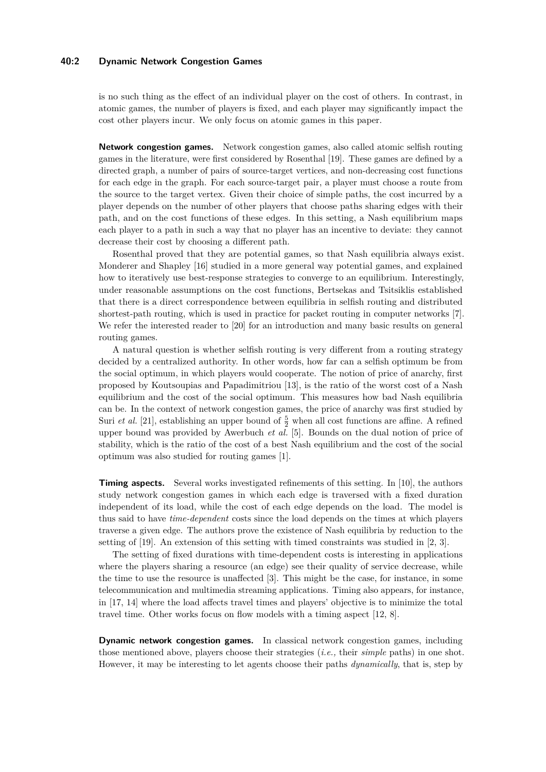#### **40:2 Dynamic Network Congestion Games**

is no such thing as the effect of an individual player on the cost of others. In contrast, in atomic games, the number of players is fixed, and each player may significantly impact the cost other players incur. We only focus on atomic games in this paper.

**Network congestion games.** Network congestion games, also called atomic selfish routing games in the literature, were first considered by Rosenthal [\[19\]](#page-15-0). These games are defined by a directed graph, a number of pairs of source-target vertices, and non-decreasing cost functions for each edge in the graph. For each source-target pair, a player must choose a route from the source to the target vertex. Given their choice of simple paths, the cost incurred by a player depends on the number of other players that choose paths sharing edges with their path, and on the cost functions of these edges. In this setting, a Nash equilibrium maps each player to a path in such a way that no player has an incentive to deviate: they cannot decrease their cost by choosing a different path.

Rosenthal proved that they are potential games, so that Nash equilibria always exist. Monderer and Shapley [\[16\]](#page-15-3) studied in a more general way potential games, and explained how to iteratively use best-response strategies to converge to an equilibrium. Interestingly, under reasonable assumptions on the cost functions, Bertsekas and Tsitsiklis established that there is a direct correspondence between equilibria in selfish routing and distributed shortest-path routing, which is used in practice for packet routing in computer networks [\[7\]](#page-14-0). We refer the interested reader to [\[20\]](#page-15-4) for an introduction and many basic results on general routing games.

A natural question is whether selfish routing is very different from a routing strategy decided by a centralized authority. In other words, how far can a selfish optimum be from the social optimum, in which players would cooperate. The notion of price of anarchy, first proposed by Koutsoupias and Papadimitriou [\[13\]](#page-15-5), is the ratio of the worst cost of a Nash equilibrium and the cost of the social optimum. This measures how bad Nash equilibria can be. In the context of network congestion games, the price of anarchy was first studied by Suri *et al.* [\[21\]](#page-15-6), establishing an upper bound of  $\frac{5}{2}$  when all cost functions are affine. A refined upper bound was provided by Awerbuch *et al.* [\[5\]](#page-14-1). Bounds on the dual notion of price of stability, which is the ratio of the cost of a best Nash equilibrium and the cost of the social optimum was also studied for routing games [\[1\]](#page-14-2).

**Timing aspects.** Several works investigated refinements of this setting. In [\[10\]](#page-15-7), the authors study network congestion games in which each edge is traversed with a fixed duration independent of its load, while the cost of each edge depends on the load. The model is thus said to have *time-dependent* costs since the load depends on the times at which players traverse a given edge. The authors prove the existence of Nash equilibria by reduction to the setting of [\[19\]](#page-15-0). An extension of this setting with timed constraints was studied in [\[2,](#page-14-3) [3\]](#page-14-4).

The setting of fixed durations with time-dependent costs is interesting in applications where the players sharing a resource (an edge) see their quality of service decrease, while the time to use the resource is unaffected [\[3\]](#page-14-4). This might be the case, for instance, in some telecommunication and multimedia streaming applications. Timing also appears, for instance, in [\[17,](#page-15-8) [14\]](#page-15-9) where the load affects travel times and players' objective is to minimize the total travel time. Other works focus on flow models with a timing aspect [\[12,](#page-15-10) [8\]](#page-14-5).

**Dynamic network congestion games.** In classical network congestion games, including those mentioned above, players choose their strategies (*i.e.,* their *simple* paths) in one shot. However, it may be interesting to let agents choose their paths *dynamically*, that is, step by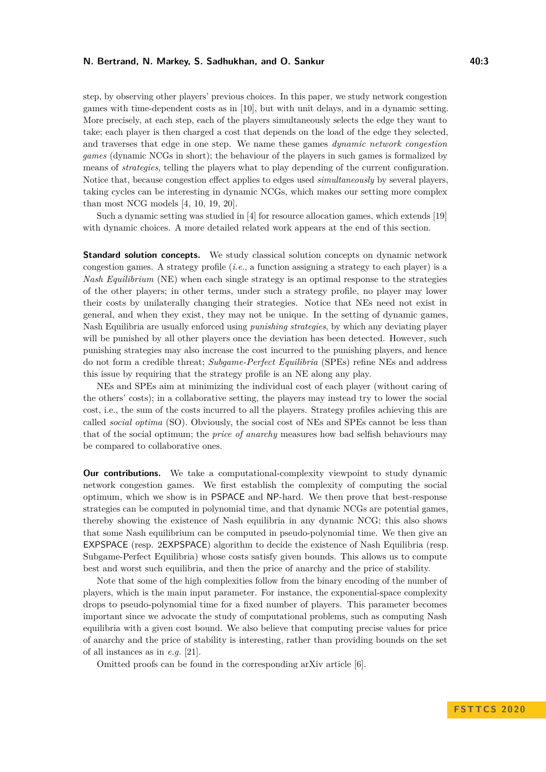#### **N. Bertrand, N. Markey, S. Sadhukhan, and O. Sankur 1998 1998 1998 1998 1998 1998 10:3**

step, by observing other players' previous choices. In this paper, we study network congestion games with time-dependent costs as in [\[10\]](#page-15-7), but with unit delays, and in a dynamic setting. More precisely, at each step, each of the players simultaneously selects the edge they want to take; each player is then charged a cost that depends on the load of the edge they selected, and traverses that edge in one step. We name these games *dynamic network congestion games* (dynamic NCGs in short); the behaviour of the players in such games is formalized by means of *strategies*, telling the players what to play depending of the current configuration. Notice that, because congestion effect applies to edges used *simultaneously* by several players, taking cycles can be interesting in dynamic NCGs, which makes our setting more complex than most NCG models [\[4,](#page-14-6) [10,](#page-15-7) [19,](#page-15-0) [20\]](#page-15-4).

Such a dynamic setting was studied in [\[4\]](#page-14-6) for resource allocation games, which extends [\[19\]](#page-15-0) with dynamic choices. A more detailed related work appears at the end of this section.

**Standard solution concepts.** We study classical solution concepts on dynamic network congestion games. A strategy profile (*i.e.*, a function assigning a strategy to each player) is a *Nash Equilibrium* (NE) when each single strategy is an optimal response to the strategies of the other players; in other terms, under such a strategy profile, no player may lower their costs by unilaterally changing their strategies. Notice that NEs need not exist in general, and when they exist, they may not be unique. In the setting of dynamic games, Nash Equilibria are usually enforced using *punishing strategies*, by which any deviating player will be punished by all other players once the deviation has been detected. However, such punishing strategies may also increase the cost incurred to the punishing players, and hence do not form a credible threat; *Subgame-Perfect Equilibria* (SPEs) refine NEs and address this issue by requiring that the strategy profile is an NE along any play.

NEs and SPEs aim at minimizing the individual cost of each player (without caring of the others' costs); in a collaborative setting, the players may instead try to lower the social cost, i.e., the sum of the costs incurred to all the players. Strategy profiles achieving this are called *social optima* (SO). Obviously, the social cost of NEs and SPEs cannot be less than that of the social optimum; the *price of anarchy* measures how bad selfish behaviours may be compared to collaborative ones.

**Our contributions.** We take a computational-complexity viewpoint to study dynamic network congestion games. We first establish the complexity of computing the social optimum, which we show is in PSPACE and NP-hard. We then prove that best-response strategies can be computed in polynomial time, and that dynamic NCGs are potential games, thereby showing the existence of Nash equilibria in any dynamic NCG; this also shows that some Nash equilibrium can be computed in pseudo-polynomial time. We then give an EXPSPACE (resp. 2EXPSPACE) algorithm to decide the existence of Nash Equilibria (resp. Subgame-Perfect Equilibria) whose costs satisfy given bounds. This allows us to compute best and worst such equilibria, and then the price of anarchy and the price of stability.

Note that some of the high complexities follow from the binary encoding of the number of players, which is the main input parameter. For instance, the exponential-space complexity drops to pseudo-polynomial time for a fixed number of players. This parameter becomes important since we advocate the study of computational problems, such as computing Nash equilibria with a given cost bound. We also believe that computing precise values for price of anarchy and the price of stability is interesting, rather than providing bounds on the set of all instances as in *e.g.* [\[21\]](#page-15-6).

Omitted proofs can be found in the corresponding arXiv article [\[6\]](#page-14-7).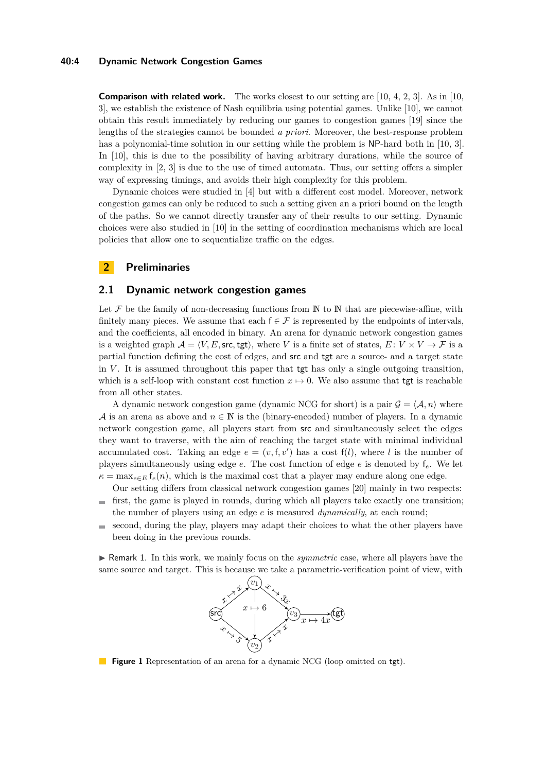#### **40:4 Dynamic Network Congestion Games**

**Comparison with related work.** The works closest to our setting are [\[10,](#page-15-7) [4,](#page-14-6) [2,](#page-14-3) [3\]](#page-14-4). As in [10, [3\]](#page-14-4), we establish the existence of Nash equilibria using potential games. Unlike [\[10\]](#page-15-7), we cannot obtain this result immediately by reducing our games to congestion games [\[19\]](#page-15-0) since the lengths of the strategies cannot be bounded *a priori*. Moreover, the best-response problem has a polynomial-time solution in our setting while the problem is NP-hard both in [\[10,](#page-15-7) [3\]](#page-14-4). In [\[10\]](#page-15-7), this is due to the possibility of having arbitrary durations, while the source of complexity in [\[2,](#page-14-3) [3\]](#page-14-4) is due to the use of timed automata. Thus, our setting offers a simpler way of expressing timings, and avoids their high complexity for this problem.

Dynamic choices were studied in [\[4\]](#page-14-6) but with a different cost model. Moreover, network congestion games can only be reduced to such a setting given an a priori bound on the length of the paths. So we cannot directly transfer any of their results to our setting. Dynamic choices were also studied in [\[10\]](#page-15-7) in the setting of coordination mechanisms which are local policies that allow one to sequentialize traffic on the edges.

## **2 Preliminaries**

### **2.1 Dynamic network congestion games**

Let  $\mathcal F$  be the family of non-decreasing functions from  $\mathbb N$  to  $\mathbb N$  that are piecewise-affine, with finitely many pieces. We assume that each  $f \in \mathcal{F}$  is represented by the endpoints of intervals, and the coefficients, all encoded in binary. An arena for dynamic network congestion games is a weighted graph  $A = \langle V, E, \text{src}, \text{tgt}\rangle$ , where *V* is a finite set of states,  $E: V \times V \to F$  is a partial function defining the cost of edges, and src and tgt are a source- and a target state in *V* . It is assumed throughout this paper that tgt has only a single outgoing transition, which is a self-loop with constant cost function  $x \mapsto 0$ . We also assume that tgt is reachable from all other states.

A dynamic network congestion game (dynamic NCG for short) is a pair  $\mathcal{G} = \langle \mathcal{A}, n \rangle$  where A is an arena as above and  $n \in \mathbb{N}$  is the (binary-encoded) number of players. In a dynamic network congestion game, all players start from src and simultaneously select the edges they want to traverse, with the aim of reaching the target state with minimal individual accumulated cost. Taking an edge  $e = (v, f, v')$  has a cost  $f(l)$ , where *l* is the number of players simultaneously using edge *e*. The cost function of edge *e* is denoted by f*e*. We let  $\kappa = \max_{e \in E} f_e(n)$ , which is the maximal cost that a player may endure along one edge.

Our setting differs from classical network congestion games [\[20\]](#page-15-4) mainly in two respects:

- first, the game is played in rounds, during which all players take exactly one transition;  $\blacksquare$ the number of players using an edge *e* is measured *dynamically*, at each round;
- second, during the play, players may adapt their choices to what the other players have  $\equiv$ been doing in the previous rounds.

<span id="page-3-0"></span>I Remark 1. In this work, we mainly focus on the *symmetric* case, where all players have the same source and target. This is because we take a parametric-verification point of view, with



**Figure 1** Representation of an arena for a dynamic NCG (loop omitted on tet).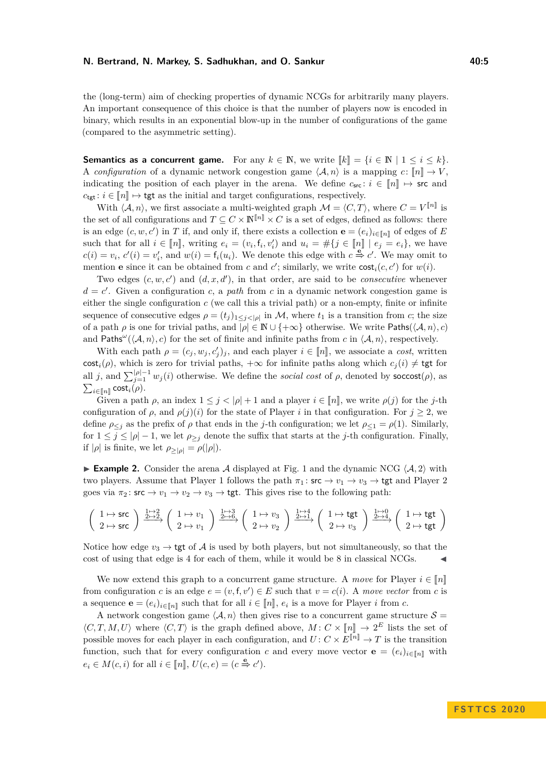the (long-term) aim of checking properties of dynamic NCGs for arbitrarily many players. An important consequence of this choice is that the number of players now is encoded in binary, which results in an exponential blow-up in the number of configurations of the game (compared to the asymmetric setting).

**Semantics as a concurrent game.** For any  $k \in \mathbb{N}$ , we write  $\llbracket k \rrbracket = \{i \in \mathbb{N} \mid 1 \le i \le k\}.$ A *configuration* of a dynamic network congestion game  $\langle A, n \rangle$  is a mapping  $c : \llbracket n \rrbracket \to V$ , indicating the position of each player in the arena. We define  $c_{\text{src}}$ :  $i \in [n] \mapsto \text{src}$  and  $c_{\text{tet}}: i \in \llbracket n \rrbracket \mapsto \text{tgt}$  as the initial and target configurations, respectively.

With  $\langle A, n \rangle$ , we first associate a multi-weighted graph  $\mathcal{M} = \langle C, T \rangle$ , where  $C = V^{\llbracket n \rrbracket}$  is the set of all configurations and  $T \subseteq C \times \mathbb{N}^{n} \times C$  is a set of edges, defined as follows: there is an edge  $(c, w, c')$  in *T* if, and only if, there exists a collection  $\mathbf{e} = (e_i)_{i \in [n]}$  of edges of *E* such that for all  $i \in [n]$ , writing  $e_i = (v_i, f_i, v'_i)$  and  $u_i = #\{j \in [n] \mid e_j = e_i\}$ , we have  $c(i) = v_i$ ,  $c'(i) = v'_i$ , and  $w(i) = f_i(u_i)$ . We denote this edge with  $c \stackrel{e}{\Rightarrow} c'$ . We may omit to mention **e** since it can be obtained from *c* and *c*'; similarly, we write  $\text{cost}_i(c, c')$  for  $w(i)$ .

Two edges  $(c, w, c')$  and  $(d, x, d')$ , in that order, are said to be *consecutive* whenever  $d = c'$ . Given a configuration *c*, a *path* from *c* in a dynamic network congestion game is either the single configuration *c* (we call this a trivial path) or a non-empty, finite or infinite sequence of consecutive edges  $\rho = (t_j)_{1 \leq j < |\rho|}$  in M, where  $t_1$  is a transition from *c*; the size of a path  $\rho$  is one for trivial paths, and  $|\rho| \in \mathbb{N} \cup \{+\infty\}$  otherwise. We write Paths( $\langle A, n \rangle, c$ ) and Paths<sup>ω</sup>( $\langle A, n \rangle$ , *c*) for the set of finite and infinite paths from *c* in  $\langle A, n \rangle$ , respectively.

With each path  $\rho = (c_j, w_j, c'_j)_j$ , and each player  $i \in [\![n]\!]$ , we associate a *cost*, written  $\mathcal{L}(\epsilon)$ , which is zero for trivial paths,  $\epsilon$  as for infinite paths along which  $\epsilon$  (*i*),  $\ell$  to for  $\text{cost}_i(\rho)$ , which is zero for trivial paths,  $+\infty$  for infinite paths along which  $c_j(i) \neq \text{tgt}$  for all *j*, and  $\sum_{j=1}^{\lfloor \rho\rfloor-1} w_j(i)$  otherwise. We define the *social cost* of  $\rho$ , denoted by soccost $(\rho)$ , as  $\sum_{i \in [\![n]\!]} \mathsf{cost}_i(\rho).$ 

Given a path  $\rho$ , an index  $1 \leq j < |\rho| + 1$  and a player  $i \in [n]$ , we write  $\rho(j)$  for the *j*-th configuration of  $\rho$ , and  $\rho(j)(i)$  for the state of Player *i* in that configuration. For  $j \geq 2$ , we define  $\rho \leq j$  as the prefix of  $\rho$  that ends in the *j*-th configuration; we let  $\rho \leq 1 = \rho(1)$ . Similarly, for  $1 \leq j \leq |\rho| - 1$ , we let  $\rho_{>j}$  denote the suffix that starts at the *j*-th configuration. Finally, if  $|\rho|$  is finite, we let  $\rho_{\geq |\rho|} = \rho(|\rho|)$ .

<span id="page-4-0"></span>**Example 2.** Consider the arena A displayed at Fig. [1](#page-3-0) and the dynamic NCG  $\langle A, 2 \rangle$  with two players. Assume that Player 1 follows the path  $\pi_1$ :  $\mathsf{src} \to v_1 \to v_3 \to \mathsf{tgt}$  and Player 2 goes via  $\pi_2$ : src  $\to v_1 \to v_2 \to v_3 \to \text{tgt}$ . This gives rise to the following path:

$$
\left(\begin{array}{c}1 \mapsto \mathrm{src} \\ 2 \mapsto \mathrm{src}\end{array}\right) \xrightarrow{\frac{1 \mapsto 2}{2 \mapsto 2}} \left(\begin{array}{c}1 \mapsto v_1 \\ 2 \mapsto v_1\end{array}\right) \xrightarrow{\frac{1 \mapsto 3}{2 \mapsto 6}} \left(\begin{array}{c}1 \mapsto v_3 \\ 2 \mapsto v_2\end{array}\right) \xrightarrow{\frac{1 \mapsto 4}{2 \mapsto 1}} \left(\begin{array}{c}1 \mapsto \mathrm{tgt} \\ 2 \mapsto v_3\end{array}\right) \xrightarrow{\frac{1 \mapsto 0}{2 \mapsto 4}} \left(\begin{array}{c}1 \mapsto \mathrm{tgt} \\ 2 \mapsto \mathrm{tgt}\end{array}\right)
$$

Notice how edge  $v_3 \to \text{tgt}$  of A is used by both players, but not simultaneously, so that the cost of using that edge is 4 for each of them, while it would be 8 in classical NCGs.

We now extend this graph to a concurrent game structure. A *move* for Player  $i \in \llbracket n \rrbracket$ from configuration *c* is an edge  $e = (v, f, v') \in E$  such that  $v = c(i)$ . A move vector from *c* is a sequence  $\mathbf{e} = (e_i)_{i \in [\![n]\!]}$  such that for all  $i \in [\![n]\!], e_i$  is a move for Player *i* from *c*.

A network congestion game  $\langle A, n \rangle$  then gives rise to a concurrent game structure  $S =$  $\langle C, T, M, U \rangle$  where  $\langle C, T \rangle$  is the graph defined above,  $M: C \times [\![n]\!] \rightarrow 2^E$  lists the set of possible moves for each player in each configuration, and  $U: C \times E^{[\![n]\!]} \to T$  is the transition function, such that for every configuration *c* and every move vector **e** =  $(e_i)_{i \in \llbracket n \rrbracket}$  with  $e_i \in M(c, i)$  for all  $i \in [\![n]\!], U(c, e) = (c \triangleq c')$ .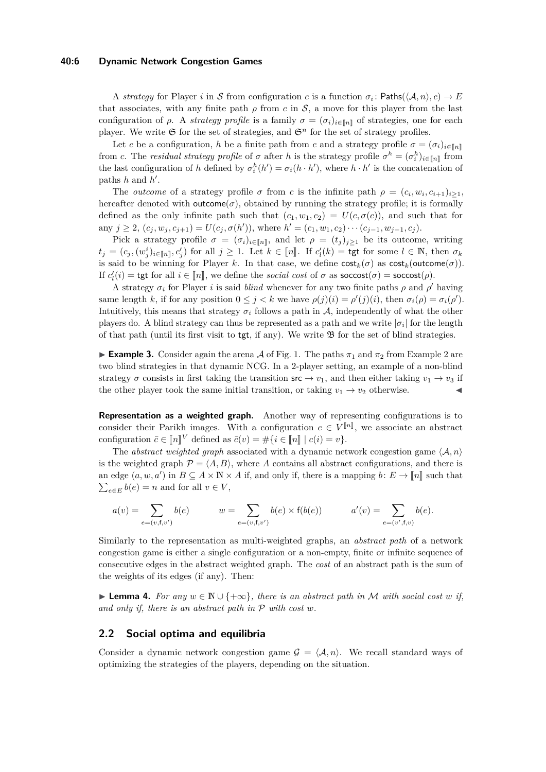#### **40:6 Dynamic Network Congestion Games**

A *strategy* for Player *i* in S from configuration *c* is a function  $\sigma_i$ : Paths( $\langle A, n \rangle, c$ )  $\rightarrow E$ that associates, with any finite path  $\rho$  from  $c$  in  $S$ , a move for this player from the last configuration of *ρ*. A *strategy profile* is a family  $\sigma = (\sigma_i)_{i \in [\![n]\!]}$  of strategies, one for each player. We write  $\mathfrak S$  for the set of strategies, and  $\mathfrak S^n$  for the set of strategy profiles.

Let *c* be a configuration, *h* be a finite path from *c* and a strategy profile  $\sigma = (\sigma_i)_{i \in [n]}$ from *c*. The *residual strategy profile* of *σ* after *h* is the strategy profile  $\sigma^h = (\sigma_i^h)_{i \in [\![ n ]\!]}$  from the last configuration of *h* defined by  $\sigma_i^h(h') = \sigma_i(h \cdot h')$ , where  $h \cdot h'$  is the concatenation of paths  $h$  and  $h'$ .

The *outcome* of a strategy profile  $\sigma$  from *c* is the infinite path  $\rho = (c_i, w_i, c_{i+1})_{i \geq 1}$ , hereafter denoted with  $outcome(\sigma)$ , obtained by running the strategy profile; it is formally defined as the only infinite path such that  $(c_1, w_1, c_2) = U(c, \sigma(c))$ , and such that for any  $j \ge 2$ ,  $(c_j, w_j, c_{j+1}) = U(c_j, \sigma(h'))$ , where  $h' = (c_1, w_1, c_2) \cdots (c_{j-1}, w_{j-1}, c_j)$ .

Pick a strategy profile  $\sigma = (\sigma_i)_{i \in [\![n]\!]}$ , and let  $\rho = (t_j)_{j \geq 1}$  be its outcome, writing  $t_j = (c_j, (w_j^i)_{i \in [\![n]\!]}, c'_j)$  for all  $j \ge 1$ . Let  $k \in [\![n]\!]$ . If  $c'_l(k) = \text{tgt}$  for some  $l \in \mathbb{N}$ , then  $\sigma_k$ is said to be winning for Player *k*. In that case, we define  $cost_k(\sigma)$  as  $cost_k(outcome(\sigma))$ . If  $c'_{l}(i)$  = tgt for all  $i \in [n]$ , we define the *social cost* of *σ* as **soccost**(*σ*) = **soccost**(*ρ*).

A strategy  $\sigma_i$  for Player *i* is said *blind* whenever for any two finite paths  $\rho$  and  $\rho'$  having same length *k*, if for any position  $0 \leq j < k$  we have  $\rho(j)(i) = \rho'(j)(i)$ , then  $\sigma_i(\rho) = \sigma_i(\rho')$ . Intuitively, this means that strategy  $\sigma_i$  follows a path in A, independently of what the other players do. A blind strategy can thus be represented as a path and we write  $|\sigma_i|$  for the length of that path (until its first visit to  $tgt$ , if any). We write  $\mathfrak{B}$  for the set of blind strategies.

<span id="page-5-0"></span>**Example 3.** Consider again the arena A of Fig. [1.](#page-3-0) The paths  $\pi_1$  and  $\pi_2$  from Example [2](#page-4-0) are two blind strategies in that dynamic NCG. In a 2-player setting, an example of a non-blind strategy  $\sigma$  consists in first taking the transition  $\mathsf{src} \to v_1$ , and then either taking  $v_1 \to v_3$  if the other player took the same initial transition, or taking  $v_1 \rightarrow v_2$  otherwise.

**Representation as a weighted graph.** Another way of representing configurations is to consider their Parikh images. With a configuration  $c \in V^{\llbracket n \rrbracket}$ , we associate an abstract configuration  $\bar{c} \in [\![n]\!]^V$  defined as  $\bar{c}(v) = #\{i \in [\![n]\!] \mid c(i) = v\}.$ 

The *abstract weighted graph* associated with a dynamic network congestion game  $\langle A, n \rangle$ is the weighted graph  $\mathcal{P} = \langle A, B \rangle$ , where *A* contains all abstract configurations, and there is an edge  $(a, w, a')$  in  $B \subseteq A \times \mathbb{N} \times A$  if, and only if, there is a mapping  $b \colon E \to [n]$  such that  $\sum_{e \in E} b(e) = n$  and for all  $v \in V$ ,

$$
a(v) = \sum_{e = (v, \mathbf{f}, v')} b(e) \qquad w = \sum_{e = (v, \mathbf{f}, v')} b(e) \times \mathbf{f}(b(e)) \qquad a'(v) = \sum_{e = (v', \mathbf{f}, v)} b(e).
$$

Similarly to the representation as multi-weighted graphs, an *abstract path* of a network congestion game is either a single configuration or a non-empty, finite or infinite sequence of consecutive edges in the abstract weighted graph. The *cost* of an abstract path is the sum of the weights of its edges (if any). Then:

<span id="page-5-1"></span>► **Lemma 4.** For any  $w \in \mathbb{N} \cup \{+\infty\}$ , there is an abstract path in M with social cost w if, *and only if, there is an abstract path in* P *with cost w.*

## **2.2 Social optima and equilibria**

Consider a dynamic network congestion game  $\mathcal{G} = \langle \mathcal{A}, n \rangle$ . We recall standard ways of optimizing the strategies of the players, depending on the situation.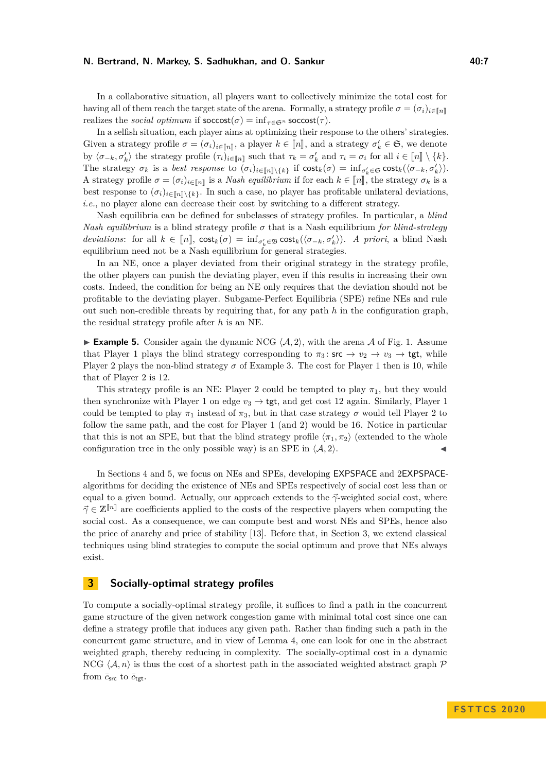In a collaborative situation, all players want to collectively minimize the total cost for having all of them reach the target state of the arena. Formally, a strategy profile  $\sigma = (\sigma_i)_{i \in \lceil n \rceil}$ realizes the *social optimum* if  $\text{socost}(\sigma) = \inf_{\tau \in \mathfrak{S}^n} \text{socost}(\tau)$ .

In a selfish situation, each player aims at optimizing their response to the others' strategies. Given a strategy profile  $\sigma = (\sigma_i)_{i \in [\![n]\!]}$ , a player  $k \in [\![n]\!]$ , and a strategy  $\sigma'_k \in \mathfrak{S}$ , we denote by  $\langle \sigma_{-k}, \sigma'_k \rangle$  the strategy profile  $(\tau_i)_{i \in [\![n]\!]}$  such that  $\tau_k = \sigma'_k$  and  $\tau_i = \sigma_i$  for all  $i \in [\![n]\!] \setminus \{k\}$ .<br>The strategy  $\tau_i$  is a heat generous to  $(\tau_i)$  if seet  $(\tau_i)$  in function  $\tau_i$ The strategy  $\sigma_k$  is a *best response* to  $(\sigma_i)_{i \in [\![n]\!]} \setminus \{k\}$  if  $\text{cost}_k(\sigma) = \inf_{\sigma'_k \in \mathfrak{S}} \text{cost}_k(\langle \sigma_{-k}, \sigma'_k \rangle)$ . A strategy profile  $\sigma = (\sigma_i)_{i \in [\![n]\!]}$  is a *Nash equilibrium* if for each  $k \in [\![n]\!]$ , the strategy  $\sigma_k$  is a heat proposed to  $(\sigma_k)$ . best response to  $(\sigma_i)_{i\in[\![n]\!]}$ <sub>k</sub>. In such a case, no player has profitable unilateral deviations, *i.e.*, no player alone can decrease their cost by switching to a different strategy.

Nash equilibria can be defined for subclasses of strategy profiles. In particular, a *blind Nash equilibrium* is a blind strategy profile  $\sigma$  that is a Nash equilibrium for blind-strategy *deviations*: for all  $k \in [\![n]\!]$ ,  $\text{cost}_k(\sigma) = \inf_{\sigma'_k \in \mathcal{B}} \text{cost}_k(\langle \sigma_{-k}, \sigma'_k \rangle)$ . *A priori*, a blind Nash conjlibrium need not be a Nash conjlibrium for general directories. equilibrium need not be a Nash equilibrium for general strategies.

In an NE, once a player deviated from their original strategy in the strategy profile, the other players can punish the deviating player, even if this results in increasing their own costs. Indeed, the condition for being an NE only requires that the deviation should not be profitable to the deviating player. Subgame-Perfect Equilibria (SPE) refine NEs and rule out such non-credible threats by requiring that, for any path *h* in the configuration graph, the residual strategy profile after *h* is an NE.

**Example 5.** Consider again the dynamic NCG  $\langle A, 2 \rangle$ , with the arena A of Fig. [1.](#page-3-0) Assume that Player 1 plays the blind strategy corresponding to  $\pi_3$ :  $\mathsf{src} \to v_2 \to v_3 \to \mathsf{tgt}$ , while Player 2 plays the non-blind strategy  $\sigma$  of Example [3.](#page-5-0) The cost for Player 1 then is 10, while that of Player 2 is 12.

This strategy profile is an NE: Player 2 could be tempted to play  $\pi_1$ , but they would then synchronize with Player 1 on edge  $v_3 \rightarrow \text{tgt}$ , and get cost 12 again. Similarly, Player 1 could be tempted to play  $\pi_1$  instead of  $\pi_3$ , but in that case strategy  $\sigma$  would tell Player 2 to follow the same path, and the cost for Player 1 (and 2) would be 16. Notice in particular that this is not an SPE, but that the blind strategy profile  $\langle \pi_1, \pi_2 \rangle$  (extended to the whole configuration tree in the only possible way) is an SPE in  $\langle A, 2 \rangle$ .

In Sections [4](#page-7-0) and [5,](#page-12-0) we focus on NEs and SPEs, developing EXPSPACE and 2EXPSPACEalgorithms for deciding the existence of NEs and SPEs respectively of social cost less than or equal to a given bound. Actually, our approach extends to the  $\vec{\gamma}$ -weighted social cost, where  $\vec{\gamma} \in \mathbb{Z}^{[n]}$  are coefficients applied to the costs of the respective players when computing the social cost. As a consequence, we can compute best and worst NEs and SPEs, hence also the price of anarchy and price of stability [\[13\]](#page-15-5). Before that, in Section [3,](#page-6-0) we extend classical techniques using blind strategies to compute the social optimum and prove that NEs always exist.

## <span id="page-6-0"></span>**3 Socially-optimal strategy profiles**

To compute a socially-optimal strategy profile, it suffices to find a path in the concurrent game structure of the given network congestion game with minimal total cost since one can define a strategy profile that induces any given path. Rather than finding such a path in the concurrent game structure, and in view of Lemma [4,](#page-5-1) one can look for one in the abstract weighted graph, thereby reducing in complexity. The socially-optimal cost in a dynamic NCG  $\langle A, n \rangle$  is thus the cost of a shortest path in the associated weighted abstract graph  $\mathcal P$ from  $\bar{c}_{\mathsf{src}}$  to  $\bar{c}_{\mathsf{tet}}$ .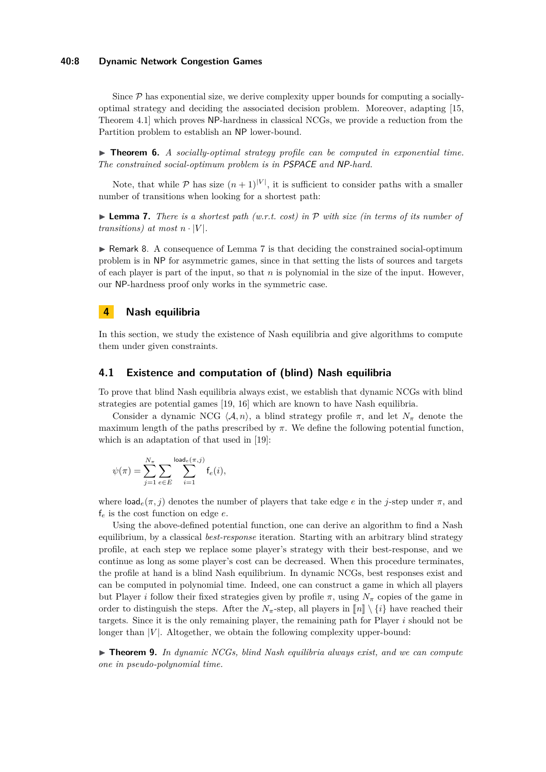#### **40:8 Dynamic Network Congestion Games**

Since  $P$  has exponential size, we derive complexity upper bounds for computing a sociallyoptimal strategy and deciding the associated decision problem. Moreover, adapting [\[15,](#page-15-11) Theorem 4.1] which proves NP-hardness in classical NCGs, we provide a reduction from the Partition problem to establish an NP lower-bound.

▶ **Theorem 6.** *A socially-optimal strategy profile can be computed in exponential time. The constrained social-optimum problem is in* PSPACE *and* NP*-hard.*

Note, that while  $P$  has size  $(n+1)^{|V|}$ , it is sufficient to consider paths with a smaller number of transitions when looking for a shortest path:

<span id="page-7-1"></span> $\triangleright$  **Lemma 7.** *There is a shortest path (w.r.t. cost) in*  $\mathcal P$  *with size (in terms of its number of transitions)* at most  $n \cdot |V|$ .

 $\triangleright$  Remark 8. A consequence of Lemma [7](#page-7-1) is that deciding the constrained social-optimum problem is in NP for asymmetric games, since in that setting the lists of sources and targets of each player is part of the input, so that *n* is polynomial in the size of the input. However, our NP-hardness proof only works in the symmetric case.

## <span id="page-7-0"></span>**4 Nash equilibria**

In this section, we study the existence of Nash equilibria and give algorithms to compute them under given constraints.

## **4.1 Existence and computation of (blind) Nash equilibria**

To prove that blind Nash equilibria always exist, we establish that dynamic NCGs with blind strategies are potential games [\[19,](#page-15-0) [16\]](#page-15-3) which are known to have Nash equilibria.

Consider a dynamic NCG  $\langle A, n \rangle$ , a blind strategy profile  $\pi$ , and let  $N_{\pi}$  denote the maximum length of the paths prescribed by  $\pi$ . We define the following potential function, which is an adaptation of that used in [\[19\]](#page-15-0):

$$
\psi(\pi) = \sum_{j=1}^{N_{\pi}} \sum_{e \in E} \sum_{i=1}^{\text{load}_e(\pi, j)} \mathsf{f}_e(i),
$$

where  $\text{load}_{e}(\pi, j)$  denotes the number of players that take edge *e* in the *j*-step under  $\pi$ , and f*<sup>e</sup>* is the cost function on edge *e*.

Using the above-defined potential function, one can derive an algorithm to find a Nash equilibrium, by a classical *best-response* iteration. Starting with an arbitrary blind strategy profile, at each step we replace some player's strategy with their best-response, and we continue as long as some player's cost can be decreased. When this procedure terminates, the profile at hand is a blind Nash equilibrium. In dynamic NCGs, best responses exist and can be computed in polynomial time. Indeed, one can construct a game in which all players but Player *i* follow their fixed strategies given by profile  $\pi$ , using  $N_\pi$  copies of the game in order to distinguish the steps. After the  $N_{\pi}$ -step, all players in  $\llbracket n \rrbracket \setminus \{i\}$  have reached their targets. Since it is the only remaining player, the remaining path for Player *i* should not be longer than  $|V|$ . Altogether, we obtain the following complexity upper-bound:

 $\triangleright$  **Theorem 9.** In dynamic NCGs, blind Nash equilibria always exist, and we can compute *one in pseudo-polynomial time.*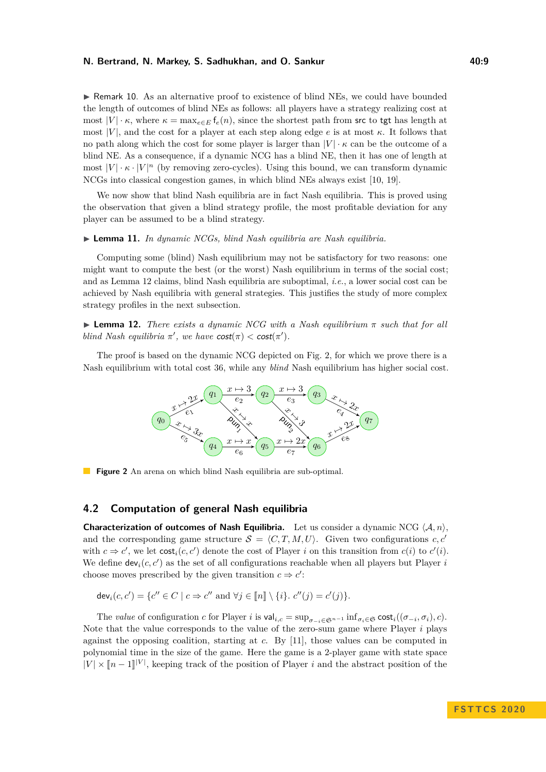$\triangleright$  Remark 10. As an alternative proof to existence of blind NEs, we could have bounded the length of outcomes of blind NEs as follows: all players have a strategy realizing cost at most  $|V| \cdot \kappa$ , where  $\kappa = \max_{e \in E} f_e(n)$ , since the shortest path from src to tgt has length at most  $|V|$ , and the cost for a player at each step along edge *e* is at most *κ*. It follows that no path along which the cost for some player is larger than  $|V| \cdot \kappa$  can be the outcome of a blind NE. As a consequence, if a dynamic NCG has a blind NE, then it has one of length at most  $|V| \cdot \kappa \cdot |V|^n$  (by removing zero-cycles). Using this bound, we can transform dynamic NCGs into classical congestion games, in which blind NEs always exist [\[10,](#page-15-7) [19\]](#page-15-0).

We now show that blind Nash equilibria are in fact Nash equilibria. This is proved using the observation that given a blind strategy profile, the most profitable deviation for any player can be assumed to be a blind strategy.

#### I **Lemma 11.** *In dynamic NCGs, blind Nash equilibria are Nash equilibria.*

Computing some (blind) Nash equilibrium may not be satisfactory for two reasons: one might want to compute the best (or the worst) Nash equilibrium in terms of the social cost; and as Lemma [12](#page-8-0) claims, blind Nash equilibria are suboptimal, *i.e.*, a lower social cost can be achieved by Nash equilibria with general strategies. This justifies the study of more complex strategy profiles in the next subsection.

<span id="page-8-0"></span>**Lemma 12.** *There exists a dynamic NCG with a Nash equilibrium*  $\pi$  *such that for all blind Nash equilibria*  $\pi'$ , we have  $cost(\pi) < cost(\pi')$ .

<span id="page-8-1"></span>The proof is based on the dynamic NCG depicted on Fig. [2,](#page-8-1) for which we prove there is a Nash equilibrium with total cost 36, while any *blind* Nash equilibrium has higher social cost.



**Figure 2** An arena on which blind Nash equilibria are sub-optimal.

## **4.2 Computation of general Nash equilibria**

**Characterization of outcomes of Nash Equilibria.** Let us consider a dynamic NCG  $\langle A, n \rangle$ , and the corresponding game structure  $S = \langle C, T, M, U \rangle$ . Given two configurations *c, c'* with  $c \Rightarrow c'$ , we let  $\text{cost}_i(c, c')$  denote the cost of Player *i* on this transition from  $c(i)$  to  $c'(i)$ . We define  $\textsf{dev}_i(c, c')$  as the set of all configurations reachable when all players but Player *i* choose moves prescribed by the given transition  $c \Rightarrow c'$ :

$$
\mathsf{dev}_i(c, c') = \{c'' \in C \mid c \Rightarrow c'' \text{ and } \forall j \in [\![n]\!] \setminus \{i\}, c''(j) = c'(j)\}.
$$

The *value* of configuration *c* for Player *i* is  $\text{val}_{i,c} = \sup_{\sigma_{-i} \in \mathfrak{S}^{n-1}} \inf_{\sigma_i \in \mathfrak{S}} \text{cost}_i((\sigma_{-i}, \sigma_i), c)$ . Note that the value corresponds to the value of the zero-sum game where Player *i* plays against the opposing coalition, starting at *c*. By [\[11\]](#page-15-12), those values can be computed in polynomial time in the size of the game. Here the game is a 2-player game with state space  $|V| \times [n-1]|V|$ , keeping track of the position of Player *i* and the abstract position of the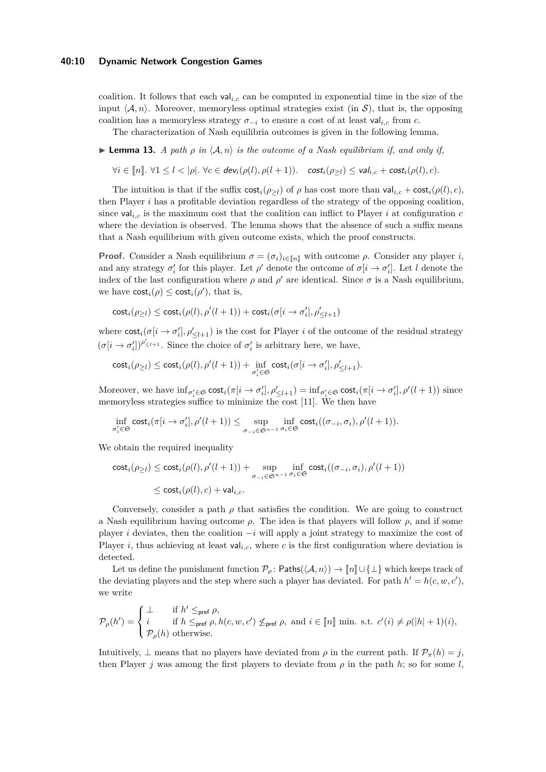coalition. It follows that each val*i,c* can be computed in exponential time in the size of the input  $\langle A, n \rangle$ . Moreover, memoryless optimal strategies exist (in S), that is, the opposing coalition has a memoryless strategy  $\sigma_{-i}$  to ensure a cost of at least val<sub>ic</sub> from *c*.

The characterization of Nash equilibria outcomes is given in the following lemma.

<span id="page-9-0"></span>**Lemma 13.** *A path*  $\rho$  *in*  $\langle A, n \rangle$  *is the outcome of a Nash equilibrium if, and only if,* 

 $\forall i \in [n]$ .  $\forall 1 \leq l < |\rho|$ .  $\forall c \in \text{dev}_i(\rho(l), \rho(l+1))$ .  $\text{cost}_i(\rho_{>l}) \leq \text{val}_{i,c} + \text{cost}_i(\rho(l), c)$ .

The intuition is that if the suffix  $\text{cost}_i(\rho_{\geq l})$  of  $\rho$  has cost more than  $\text{val}_{i,c} + \text{cost}_i(\rho(l), c)$ , then Player *i* has a profitable deviation regardless of the strategy of the opposing coalition, since  $val_{i,c}$  is the maximum cost that the coalition can inflict to Player *i* at configuration *c* where the deviation is observed. The lemma shows that the absence of such a suffix means that a Nash equilibrium with given outcome exists, which the proof constructs.

**Proof.** Consider a Nash equilibrium  $\sigma = (\sigma_i)_{i \in [n]}$  with outcome  $\rho$ . Consider any player *i*, and any strategy  $\sigma'_i$  for this player. Let  $\rho'$  denote the outcome of  $\sigma[i \to \sigma'_i]$ . Let *l* denote the index of the last configuration where  $\rho$  and  $\rho'$  are identical. Since  $\sigma$  is a Nash equilibrium, we have  $\text{cost}_i(\rho) \leq \text{cost}_i(\rho)$ , that is,

$$
\mathsf{cost}_i(\rho_{\ge l}) \leq \mathsf{cost}_i(\rho(l), \rho'(l+1)) + \mathsf{cost}_i(\sigma[i \to \sigma'_i], \rho'_{\le l+1})
$$

where  $\text{cost}_i(\sigma[i \to \sigma_i'], \rho_{\leq l+1}')$  is the cost for Player *i* of the outcome of the residual strategy  $(\sigma[i \rightarrow \sigma'_{i}])^{\rho'_{\leq l+1}}$ . Since the choice of  $\sigma'_{i}$  is arbitrary here, we have,

$$
\mathsf{cost}_i(\rho_{\ge l}) \le \mathsf{cost}_i(\rho(l), \rho'(l+1)) + \inf_{\sigma'_i \in \mathfrak{S}} \mathsf{cost}_i(\sigma[i \to \sigma'_i], \rho'_{\le l+1}).
$$

Moreover, we have  $\inf_{\sigma'_i \in \mathfrak{S}} \text{cost}_i(\pi[i \to \sigma'_i], \rho'_{\leq l+1}) = \inf_{\sigma'_i \in \mathfrak{S}} \text{cost}_i(\pi[i \to \sigma'_i], \rho'(l+1))$  since memoryless strategies suffice to minimize the cost [\[11\]](#page-15-12). We then have

$$
\inf_{\sigma'_i\in\mathfrak{S}}\mathrm{cost}_i(\pi[i\rightarrow\sigma'_i],\rho'(l+1))\leq \sup_{\sigma_{-i}\in\mathfrak{S}^{n-1}}\inf_{\sigma_i\in\mathfrak{S}}\mathrm{cost}_i((\sigma_{-i},\sigma_i),\rho'(l+1)).
$$

We obtain the required inequality

$$
\begin{aligned} \mathsf{cost}_i(\rho_{\ge l}) &\le \mathsf{cost}_i(\rho(l), \rho'(l+1)) + \sup_{\sigma_{-i} \in \mathfrak{S}^{n-1}} \inf_{\sigma_i \in \mathfrak{S}} \mathsf{cost}_i((\sigma_{-i}, \sigma_i), \rho'(l+1)) \\ &\le \mathsf{cost}_i(\rho(l), c) + \mathsf{val}_{i, c}. \end{aligned}
$$

Conversely, consider a path  $\rho$  that satisfies the condition. We are going to construct a Nash equilibrium having outcome  $\rho$ . The idea is that players will follow  $\rho$ , and if some player *i* deviates, then the coalition −*i* will apply a joint strategy to maximize the cost of Player *i*, thus achieving at least val<sub>i,c</sub>, where *c* is the first configuration where deviation is detected.

Let us define the punishment function  $\mathcal{P}_{\rho}$ : Paths( $\langle \mathcal{A}, n \rangle$ ) →  $\llbracket n \rrbracket \cup \{\perp\}$  which keeps track of the deviating players and the step where such a player has deviated. For path  $h' = h(c, w, c')$ , we write

$$
\mathcal{P}_{\rho}(h') = \left\{ \begin{aligned} & \perp \quad & \text{if } h' \leq_{\text{pref}} \rho, \\ & i \quad \text{if } h \leq_{\text{pref}} \rho, h(c,w,c') \not\leq_{\text{pref}} \rho, \text{ and } i \in [\![n]\!] \text{ min. s.t. } c'(i) \neq \rho(|h|+1)(i), \\ & \mathcal{P}_{\rho}(h) \text{ otherwise.} \end{aligned} \right.
$$

Intuitively,  $\perp$  means that no players have deviated from  $\rho$  in the current path. If  $\mathcal{P}_{\pi}(h) = j$ , then Player *j* was among the first players to deviate from  $\rho$  in the path *h*; so for some *l*,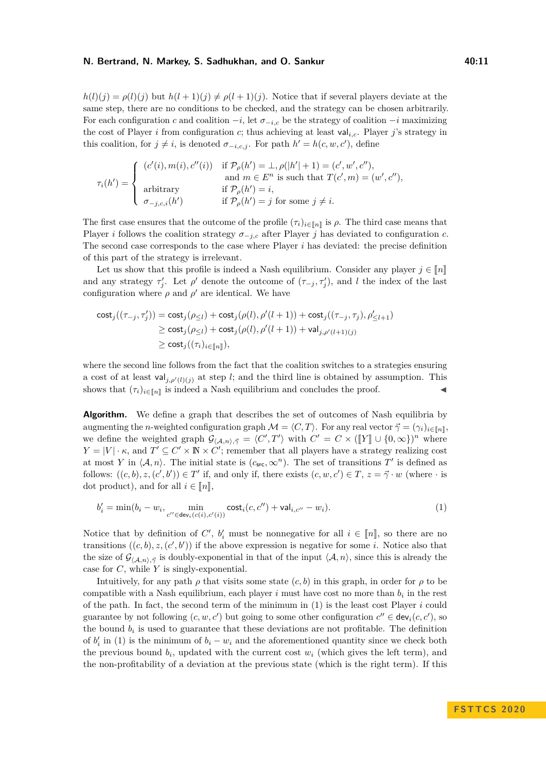$h(l)(j) = \rho(l)(j)$  but  $h(l+1)(j) \neq \rho(l+1)(j)$ . Notice that if several players deviate at the same step, there are no conditions to be checked, and the strategy can be chosen arbitrarily. For each configuration *c* and coalition  $-i$ , let  $\sigma_{-i,c}$  be the strategy of coalition  $-i$  maximizing the cost of Player *i* from configuration *c*; thus achieving at least val*i,c*. Player *j*'s strategy in this coalition, for  $j \neq i$ , is denoted  $\sigma_{-i,c,j}$ . For path  $h' = h(c, w, c')$ , define

$$
\tau_i(h') = \begin{cases}\n(c'(i), m(i), c''(i)) & \text{if } \mathcal{P}_\rho(h') = \bot, \rho(|h'| + 1) = (c', w', c''), \\
\text{and } m \in E^n \text{ is such that } T(c', m) = (w', c''), \\
\text{arbitrary} & \text{if } \mathcal{P}_\rho(h') = i, \\
\sigma_{-j, c, i}(h') & \text{if } \mathcal{P}_\rho(h') = j \text{ for some } j \neq i.\n\end{cases}
$$

The first case ensures that the outcome of the profile  $(\tau_i)_{i \in [\![n]\!]}$  is  $\rho$ . The third case means that Player *i* follows the coalition strategy  $\sigma_{-j,c}$  after Player *j* has deviated to configuration *c*. The second case corresponds to the case where Player *i* has deviated: the precise definition of this part of the strategy is irrelevant.

Let us show that this profile is indeed a Nash equilibrium. Consider any player  $j \in \llbracket n \rrbracket$ and any strategy  $\tau'_j$ . Let  $\rho'$  denote the outcome of  $(\tau_{-j}, \tau'_j)$ , and *l* the index of the last configuration where  $\rho$  and  $\rho'$  are identical. We have

$$
\begin{aligned} \mathsf{cost}_j((\tau_{-j}, \tau'_j)) &= \mathsf{cost}_j(\rho_{\le l}) + \mathsf{cost}_j(\rho(l), \rho'(l+1)) + \mathsf{cost}_j((\tau_{-j}, \tau_j), \rho'_{\le l+1}) \\ &\ge \mathsf{cost}_j(\rho_{\le l}) + \mathsf{cost}_j(\rho(l), \rho'(l+1)) + \mathsf{val}_{j, \rho'(l+1)(j)} \\ &\ge \mathsf{cost}_j((\tau_i)_{i \in [\![ n]\!]}), \end{aligned}
$$

where the second line follows from the fact that the coalition switches to a strategies ensuring a cost of at least  $\mathsf{val}_{j,\rho'(l)(j)}$  at step *l*; and the third line is obtained by assumption. This shows that  $(\tau_i)_{i \in [\![n]\!]}$  is indeed a Nash equilibrium and concludes the proof.

**Algorithm.** We define a graph that describes the set of outcomes of Nash equilibria by augmenting the *n*-weighted configuration graph  $\mathcal{M} = \langle C, T \rangle$ . For any real vector  $\vec{\gamma} = (\gamma_i)_{i \in [n]}$ , we define the weighted graph  $\mathcal{G}_{(A,n),\vec{\gamma}} = \langle C', T' \rangle$  with  $C' = C \times (\llbracket Y \rrbracket \cup \{0,\infty\})^n$  where  $V = \llbracket V \rrbracket$  where  $V = \llbracket V \rrbracket$  where  $V = \llbracket V \rrbracket$  where  $V = \llbracket V \rrbracket$  where  $\llbracket V \rrbracket$  where  $\llbracket V \rrbracket$  where  $\llbracket V \rr$  $Y = |V| \cdot \kappa$ , and  $T' \subseteq C' \times \mathbb{N} \times C'$ ; remember that all players have a strategy realizing cost at most *Y* in  $\langle A, n \rangle$ . The initial state is  $(c_{src}, \infty^n)$ . The set of transitions *T'* is defined as follows:  $((c, b), z, (c', b')) \in T'$  if, and only if, there exists  $(c, w, c') \in T$ ,  $z = \vec{\gamma} \cdot w$  (where  $\cdot$  is dot product), and for all  $i \in \llbracket n \rrbracket$ ,

<span id="page-10-0"></span>
$$
b'_{i} = \min(b_{i} - w_{i}, \min_{c'' \in \text{dev}_{i}(c(i), c'(i))} \text{cost}_{i}(c, c'') + \text{val}_{i, c''} - w_{i}).
$$
\n(1)

Notice that by definition of *C'*,  $b'_i$  must be nonnegative for all  $i \in [\![n]\!]$ , so there are no<br>*t*ogenitions  $((a, b) \cup (d, b))$  if the above arguments is negative for some in Matice also that transitions  $((c, b), z, (c', b'))$  if the above expression is negative for some *i*. Notice also that the size of  $\mathcal{G}_{(\mathcal{A},n),\vec{\gamma}}$  is doubly-exponential in that of the input  $\langle \mathcal{A}, n \rangle$ , since this is already the case for *C*, while *Y* is singly-exponential.

Intuitively, for any path  $\rho$  that visits some state  $(c, b)$  in this graph, in order for  $\rho$  to be compatible with a Nash equilibrium, each player  $i$  must have cost no more than  $b_i$  in the rest of the path. In fact, the second term of the minimum in [\(1\)](#page-10-0) is the least cost Player *i* could guarantee by not following  $(c, w, c')$  but going to some other configuration  $c'' \in \text{dev}_i(c, c')$ , so the bound  $b_i$  is used to guarantee that these deviations are not profitable. The definition of  $b_i'$  in [\(1\)](#page-10-0) is the minimum of  $b_i - w_i$  and the aforementioned quantity since we check both the previous bound  $b_i$ , updated with the current cost  $w_i$  (which gives the left term), and the non-profitability of a deviation at the previous state (which is the right term). If this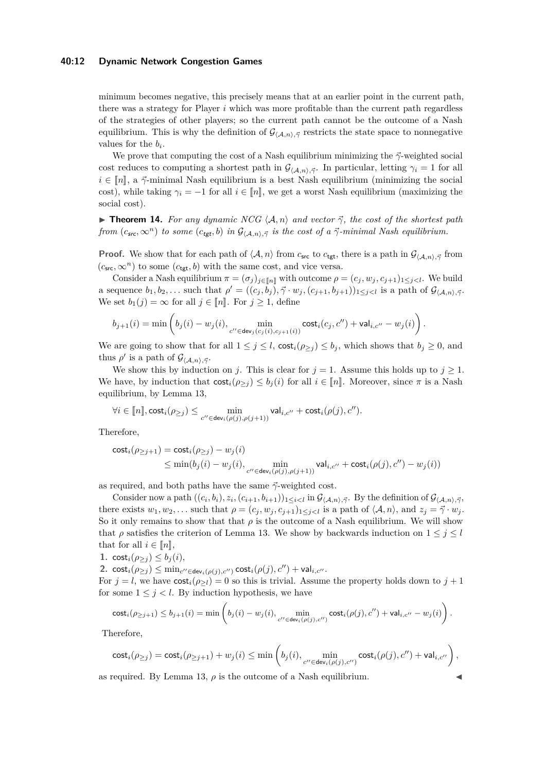#### **40:12 Dynamic Network Congestion Games**

minimum becomes negative, this precisely means that at an earlier point in the current path, there was a strategy for Player *i* which was more profitable than the current path regardless of the strategies of other players; so the current path cannot be the outcome of a Nash equilibrium. This is why the definition of  $\mathcal{G}_{(A,n),\vec{\gamma}}$  restricts the state space to nonnegative values for the  $b_i$ .

We prove that computing the cost of a Nash equilibrium minimizing the  $\vec{\gamma}$ -weighted social cost reduces to computing a shortest path in  $\mathcal{G}_{(A,n),\vec{\gamma}}$ . In particular, letting  $\gamma_i = 1$  for all  $i \in [n],$  a  $\vec{\gamma}$ -minimal Nash equilibrium is a best Nash equilibrium (minimizing the social cost), while taking  $\gamma_i = -1$  for all  $i \in [n]$ , we get a worst Nash equilibrium (maximizing the social cost).

<span id="page-11-0"></span>**Theorem 14.** For any dynamic NCG  $\langle A, n \rangle$  and vector  $\vec{\gamma}$ , the cost of the shortest path *from*  $(c_{src}, \infty^n)$  *to some*  $(c_{tgt}, b)$  *in*  $\mathcal{G}_{(A,n), \vec{\gamma}}$  *is the cost of a*  $\vec{\gamma}$ *-minimal Nash equilibrium.* 

**Proof.** We show that for each path of  $\langle A, n \rangle$  from  $c_{\text{src}}$  to  $c_{\text{tgt}}$ , there is a path in  $\mathcal{G}_{\langle A,n \rangle, \vec{\gamma}}$  from  $(c<sub>src</sub>, \infty<sup>n</sup>)$  to some  $(c<sub>tgt</sub>, b)$  with the same cost, and vice versa.

Consider a Nash equilibrium  $\pi = (\sigma_j)_{j \in [\![n]\!]}$  with outcome  $\rho = (c_j, w_j, c_{j+1})_{1 \leq j < l}$ . We build a sequence  $b_1, b_2, \ldots$  such that  $\rho' = ((c_j, b_j), \vec{\gamma} \cdot w_j, (c_{j+1}, b_{j+1}))_{1 \leq j < l}$  is a path of  $\mathcal{G}_{\langle \mathcal{A}, n \rangle, \vec{\gamma}}$ . We set  $b_1(j) = \infty$  for all  $j \in [n]$ . For  $j \ge 1$ , define

$$
b_{j+1}(i)=\min\left(b_j(i)-w_j(i),\min_{c''\in\mathsf{dev}_j(c_j(i),c_{j+1}(i))}\mathsf{cost}_i(c_j,c'')+\mathsf{val}_{i,c''}-w_j(i)\right).
$$

We are going to show that for all  $1 \leq j \leq l$ ,  $\text{cost}_i(\rho_{\geq j}) \leq b_j$ , which shows that  $b_j \geq 0$ , and thus  $\rho'$  is a path of  $\mathcal{G}_{\langle\mathcal{A},n\rangle,\vec{\gamma}}$ .

We show this by induction on *j*. This is clear for  $j = 1$ . Assume this holds up to  $j \geq 1$ . We have, by induction that  $\text{cost}_i(\rho_{>i}) \leq b_i(i)$  for all  $i \in [n]$ . Moreover, since  $\pi$  is a Nash equilibrium, by Lemma [13,](#page-9-0)

$$
\forall i \in [\![n]\!], \mathsf{cost}_i(\rho_{\ge j}) \le \min_{c'' \in \mathsf{dev}_i(\rho(j), \rho(j+1))} \mathsf{val}_{i, c''} + \mathsf{cost}_i(\rho(j), c'').
$$

Therefore,

$$
\begin{aligned} \mathsf{cost}_i(\rho_{\geq j+1}) &= \mathsf{cost}_i(\rho_{\geq j}) - w_j(i) \\ &\leq \min(b_j(i) - w_j(i), \min\limits_{c'' \in \mathsf{dev}_i(\rho(j), \rho(j+1))} \mathsf{val}_{i,c''} + \mathsf{cost}_i(\rho(j), c'') - w_j(i)) \end{aligned}
$$

as required, and both paths have the same  $\vec{\gamma}$ -weighted cost.

Consider now a path  $((c_i, b_i), z_i, (c_{i+1}, b_{i+1}))_{1 \leq i < l}$  in  $\mathcal{G}_{(\mathcal{A},n), \vec{\gamma}}$ . By the definition of  $\mathcal{G}_{(\mathcal{A},n), \vec{\gamma}}$ , there exists  $w_1, w_2, \ldots$  such that  $\rho = (c_j, w_j, c_{j+1})_{1 \leq j \leq l}$  is a path of  $\langle A, n \rangle$ , and  $z_j = \vec{\gamma} \cdot w_j$ . So it only remains to show that that  $\rho$  is the outcome of a Nash equilibrium. We will show that  $\rho$  satisfies the criterion of Lemma [13.](#page-9-0) We show by backwards induction on  $1 \leq j \leq l$ that for all  $i \in [n],$ 

1. cost<sub>*i*</sub>( $\rho_{\geq j}$ )  $\leq b_j(i)$ , 2.  $\text{cost}_i(\rho_{\geq j}) \leq \min_{c'' \in \text{dev}_i(\rho(j), c'')} \text{cost}_i(\rho(j), c'') + \text{val}_{i, c''}.$ For  $j = l$ , we have  $\text{cost}_i(\rho > l) = 0$  so this is trivial. Assume the property holds down to  $j + 1$ for some  $1 \leq j < l$ . By induction hypothesis, we have

$$
\mathsf{cost}_i(\rho_{\geq j+1}) \leq b_{j+1}(i) = \min\left(b_j(i) - w_j(i), \min_{c'' \in \mathsf{dev}_i(\rho(j), c'')} \mathsf{cost}_i(\rho(j), c'') + \mathsf{val}_{i, c''} - w_j(i)\right).
$$

Therefore,

$$
\mathsf{cost}_i(\rho_{\ge j}) = \mathsf{cost}_i(\rho_{\ge j+1}) + w_j(i) \le \min\left(b_j(i), \min_{c'' \in \mathsf{dev}_i(\rho(j), c'')} \mathsf{cost}_i(\rho(j), c'') + \mathsf{val}_{i, c''}\right),
$$

as required. By Lemma [13,](#page-9-0)  $\rho$  is the outcome of a Nash equilibrium.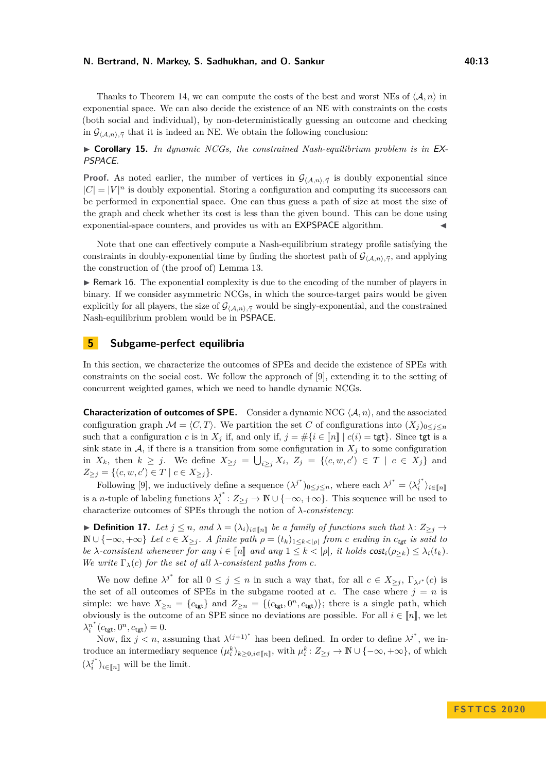Thanks to Theorem [14,](#page-11-0) we can compute the costs of the best and worst NEs of  $\langle A, n \rangle$  in exponential space. We can also decide the existence of an NE with constraints on the costs (both social and individual), by non-deterministically guessing an outcome and checking in  $\mathcal{G}_{\langle A,n\rangle,\vec{\gamma}}$  that it is indeed an NE. We obtain the following conclusion:

I **Corollary 15.** *In dynamic NCGs, the constrained Nash-equilibrium problem is in* EX-PSPACE*.*

**Proof.** As noted earlier, the number of vertices in  $\mathcal{G}_{(A,n),\vec{\gamma}}$  is doubly exponential since  $|C| = |V|^n$  is doubly exponential. Storing a configuration and computing its successors can be performed in exponential space. One can thus guess a path of size at most the size of the graph and check whether its cost is less than the given bound. This can be done using exponential-space counters, and provides us with an  $\mathsf{EXPSPACE}$  algorithm.

Note that one can effectively compute a Nash-equilibrium strategy profile satisfying the constraints in doubly-exponential time by finding the shortest path of  $\mathcal{G}_{(A,n),\vec{\gamma}}$ , and applying the construction of (the proof of) Lemma [13.](#page-9-0)

 $\triangleright$  Remark 16. The exponential complexity is due to the encoding of the number of players in binary. If we consider asymmetric NCGs, in which the source-target pairs would be given explicitly for all players, the size of  $\mathcal{G}_{(A,n),\vec{\gamma}}$  would be singly-exponential, and the constrained Nash-equilibrium problem would be in PSPACE.

## <span id="page-12-0"></span>**5 Subgame-perfect equilibria**

In this section, we characterize the outcomes of SPEs and decide the existence of SPEs with constraints on the social cost. We follow the approach of [\[9\]](#page-15-13), extending it to the setting of concurrent weighted games, which we need to handle dynamic NCGs.

**Characterization of outcomes of SPE.** Consider a dynamic NCG  $\langle A, n \rangle$ , and the associated configuration graph  $\mathcal{M} = \langle C, T \rangle$ . We partition the set *C* of configurations into  $(X_i)_{0 \leq i \leq n}$ such that a configuration *c* is in  $X_j$  if, and only if,  $j = \#\{i \in [n] \mid c(i) = \text{tgt}\}\.$  Since tgt is a sink state in  $A$ , if there is a transition from some configuration in  $X_j$  to some configuration in  $X_k$ , then  $k \geq j$ . We define  $X_{\geq j} = \bigcup_{i \geq j} X_i$ ,  $Z_j = \{(c, w, c') \in T \mid c \in X_j\}$  and  $Z_{\geq j} = \{(c, w, c') \in T \mid c \in X_{\geq j}\}.$ 

Following [\[9\]](#page-15-13), we inductively define a sequence  $(\lambda^{j^*})_{0 \leq j \leq n}$ , where each  $\lambda^{j^*} = (\lambda^{j^*})_{j \leq j \leq n}$  $\binom{j}{i}$ <sup>*i*</sup>  $\geq$ <sup>*i*</sup>E $[n]$ is a *n*-tuple of labeling functions  $\lambda_i^{j^*}$  $j^*$  :  $Z_{\geq j}$  → **N** ∪ {-∞, +∞}. This sequence will be used to characterize outcomes of SPEs through the notion of *λ-consistency*:

▶ **Definition 17.** *Let*  $j \leq n$ *, and*  $λ = (λ<sub>i</sub>)<sub>i</sub> ∈[*n*],$  *be a family of functions such that*  $λ$ :  $Z_{\geq j}$  →  $\mathbb{N} \cup \{-\infty, +\infty\}$  *Let*  $c \in X_{\geq j}$ . A finite path  $\rho = (t_k)_{1 \leq k < |\rho|}$  from *c* ending in  $c_{tgt}$  is said to *be λ*-consistent whenever for any  $i \in [n]$  and any  $1 \leq k < |\rho|$ , it holds  $\text{cost}_i(\rho_{>k}) \leq \lambda_i(t_k)$ . *We write*  $\Gamma_{\lambda}(c)$  *for the set of all*  $\lambda$ *-consistent paths from c.* 

We now define  $\lambda^{j^*}$  for all  $0 \leq j \leq n$  in such a way that, for all  $c \in X_{\geq j}$ ,  $\Gamma_{\lambda^{j^*}}(c)$  is the set of all outcomes of SPEs in the subgame rooted at *c*. The case where  $j = n$  is simple: we have  $X_{\geq n} = \{c_{\text{tgt}}\}$  and  $Z_{\geq n} = \{(c_{\text{tgt}}, 0^n, c_{\text{tgt}})\}$ ; there is a single path, which obviously is the outcome of an SPE since no deviations are possible. For all  $i \in [n]$ , we let  $\lambda_i^{n^*}(c_{\text{tgt}}, 0^n, c_{\text{tgt}}) = 0.$ 

Now, fix  $j < n$ , assuming that  $\lambda^{(j+1)^*}$  has been defined. In order to define  $\lambda^{j^*}$ , we introduce an intermediary sequence  $(\mu_i^k)_{k \geq 0, i \in [\![n]\!]}$ , with  $\mu_i^k: Z_{\geq j} \to \mathbb{N} \cup \{-\infty, +\infty\}$ , of which  $(\lambda_i^{j^*})$  $\binom{J}{i}$ <sub>*i*∈[*n*]</sub> will be the limit.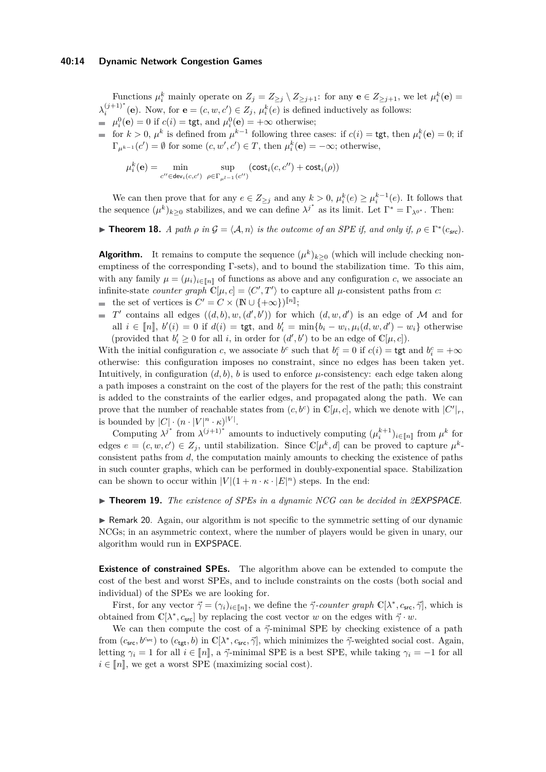#### **40:14 Dynamic Network Congestion Games**

Functions  $\mu_i^k$  mainly operate on  $Z_j = Z_{\geq j} \setminus Z_{\geq j+1}$ : for any  $e \in Z_{\geq j+1}$ , we let  $\mu_i^k(e) =$  $\lambda_i^{(j+1)^*}$  (**e**). Now, for **e** =  $(c, w, c') \in Z_j$ ,  $\mu_i^k(e)$  is defined inductively as follows:  $\mu_i^0(\mathbf{e}) = 0$  if  $c(i) = \text{tgt}$ , and  $\mu_i^0(\mathbf{e}) = +\infty$  otherwise;

for  $k > 0$ ,  $\mu^k$  is defined from  $\mu^{k-1}$  following three cases: if  $c(i) = \text{tgt}$ , then  $\mu_i^k(\mathbf{e}) = 0$ ; if  $\Gamma_{\mu^{k-1}}(c') = \emptyset$  for some  $(c, w', c') \in T$ , then  $\mu_i^k(\mathbf{e}) = -\infty$ ; otherwise,

$$
\mu_i^k(\mathbf{e}) = \min_{c'' \in \text{dev}_i(c, c')} \sup_{\rho \in \Gamma_{\mu^{l-1}}(c'')} (\text{cost}_i(c, c'') + \text{cost}_i(\rho))
$$

We can then prove that for any  $e \in Z_{\geq j}$  and any  $k > 0$ ,  $\mu_i^k(e) \geq \mu_i^{k-1}(e)$ . It follows that the sequence  $(\mu^k)_{k\geq 0}$  stabilizes, and we can define  $\lambda^{j^*}$  as its limit. Let  $\Gamma^* = \Gamma_{\lambda^{0^*}}$ . Then:

**Figure 18.** *A path*  $\rho$  *in*  $\mathcal{G} = \langle \mathcal{A}, n \rangle$  *is the outcome of an SPE if, and only if,*  $\rho \in \Gamma^*(c_{\text{src}})$ *.* 

**Algorithm.** It remains to compute the sequence  $(\mu^k)_{k \geq 0}$  (which will include checking nonemptiness of the corresponding Γ-sets), and to bound the stabilization time. To this aim, with any family  $\mu = (\mu_i)_{i \in \llbracket n \rrbracket}$  of functions as above and any configuration *c*, we associate an infinite-state *counter graph*  $\mathbb{C}[\mu, c] = \langle C', T' \rangle$  to capture all  $\mu$ -consistent paths from *c*: the set of vertices is  $C' = C \times (\mathbb{N} \cup \{+\infty\})^{[\![n]\!]};$ 

*T*<sup>*c*</sup> contains all edges  $((d, b), w, (d', b'))$  for which  $(d, w, d')$  is an edge of *M* and for all  $i \in [\![n]\!]$ ,  $b'(i) = 0$  if  $d(i) = \text{tgt}$ , and  $b'_i = \min\{b_i - w_i, \mu_i(d, w, d') - w_i\}$  otherwise (provided that  $b'_i \geq 0$  for all *i*, in order for  $(d', b')$  to be an edge of  $\mathbb{C}[\mu, c]$ ).

With the initial configuration *c*, we associate  $b^c$  such that  $b_i^c = 0$  if  $c(i) = \text{tgt}$  and  $b_i^c = +\infty$ otherwise: this configuration imposes no constraint, since no edges has been taken yet. Intuitively, in configuration  $(d, b)$ , *b* is used to enforce  $\mu$ -consistency: each edge taken along a path imposes a constraint on the cost of the players for the rest of the path; this constraint is added to the constraints of the earlier edges, and propagated along the path. We can prove that the number of reachable states from  $(c, b^c)$  in  $\mathbb{C}[\mu, c]$ , which we denote with  $|C'|_r$ , is bounded by  $|C| \cdot (n \cdot |V|^n \cdot \kappa)^{|V|}$ .

Computing  $\lambda^{j^*}$  from  $\lambda^{(j+1)^*}$  amounts to inductively computing  $(\mu_i^{k+1})_{i \in [\![ n ]\!]}$  from  $\mu^k$  for edges  $e = (c, w, c') \in Z_j$ , until stabilization. Since  $\mathbb{C}[\mu^k, d]$  can be proved to capture  $\mu^k$ consistent paths from *d*, the computation mainly amounts to checking the existence of paths in such counter graphs, which can be performed in doubly-exponential space. Stabilization can be shown to occur within  $|V|(1 + n \cdot \kappa \cdot |E|^n)$  steps. In the end:

#### ► **Theorem 19.** *The existence of SPEs in a dynamic NCG can be decided in 2EXPSPACE.*

 $\triangleright$  Remark 20. Again, our algorithm is not specific to the symmetric setting of our dynamic NCGs; in an asymmetric context, where the number of players would be given in unary, our algorithm would run in EXPSPACE.

**Existence of constrained SPEs.** The algorithm above can be extended to compute the cost of the best and worst SPEs, and to include constraints on the costs (both social and individual) of the SPEs we are looking for.

First, for any vector  $\vec{\gamma} = (\gamma_i)_{i \in [\![n]\!]}$ , we define the  $\vec{\gamma}$ -counter graph  $\mathbb{C}[\lambda^*, c_{\mathsf{src}}, \vec{\gamma}]$ , which is obtained from  $\mathbb{C}[\lambda^*, c_{\mathsf{src}}]$  by replacing the cost vector *w* on the edges with  $\vec{\gamma} \cdot w$ .

We can then compute the cost of a  $\vec{\gamma}$ -minimal SPE by checking existence of a path from  $(c_{\text{src}}, b^{c_{\text{src}}})$  to  $(c_{\text{tgt}}, b)$  in  $\mathbb{C}[\lambda^*, c_{\text{src}}, \vec{\gamma}]$ , which minimizes the  $\vec{\gamma}$ -weighted social cost. Again, letting  $\gamma_i = 1$  for all  $i \in [n]$ , a  $\vec{\gamma}$ -minimal SPE is a best SPE, while taking  $\gamma_i = -1$  for all  $i \in [n]$ , we get a worst SPE (maximizing social cost).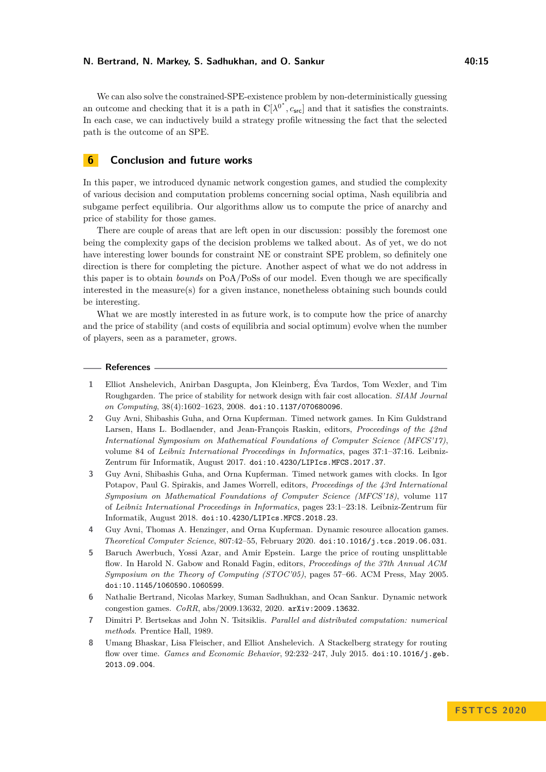We can also solve the constrained-SPE-existence problem by non-deterministically guessing an outcome and checking that it is a path in  $\mathbb{C}[\lambda^{0^*}, c_{\text{src}}]$  and that it satisfies the constraints. In each case, we can inductively build a strategy profile witnessing the fact that the selected path is the outcome of an SPE.

## **6 Conclusion and future works**

In this paper, we introduced dynamic network congestion games, and studied the complexity of various decision and computation problems concerning social optima, Nash equilibria and subgame perfect equilibria. Our algorithms allow us to compute the price of anarchy and price of stability for those games.

There are couple of areas that are left open in our discussion: possibly the foremost one being the complexity gaps of the decision problems we talked about. As of yet, we do not have interesting lower bounds for constraint NE or constraint SPE problem, so definitely one direction is there for completing the picture. Another aspect of what we do not address in this paper is to obtain *bounds* on PoA/PoSs of our model. Even though we are specifically interested in the measure(s) for a given instance, nonetheless obtaining such bounds could be interesting.

What we are mostly interested in as future work, is to compute how the price of anarchy and the price of stability (and costs of equilibria and social optimum) evolve when the number of players, seen as a parameter, grows.

#### **References**

- <span id="page-14-2"></span>**1** Elliot Anshelevich, Anirban Dasgupta, Jon Kleinberg, Éva Tardos, Tom Wexler, and Tim Roughgarden. The price of stability for network design with fair cost allocation. *SIAM Journal on Computing*, 38(4):1602–1623, 2008. [doi:10.1137/070680096](https://doi.org/10.1137/070680096).
- <span id="page-14-3"></span>**2** Guy Avni, Shibashis Guha, and Orna Kupferman. Timed network games. In Kim Guldstrand Larsen, Hans L. Bodlaender, and Jean-François Raskin, editors, *Proceedings of the 42nd International Symposium on Mathematical Foundations of Computer Science (MFCS'17)*, volume 84 of *Leibniz International Proceedings in Informatics*, pages 37:1–37:16. Leibniz-Zentrum für Informatik, August 2017. [doi:10.4230/LIPIcs.MFCS.2017.37](https://doi.org/10.4230/LIPIcs.MFCS.2017.37).
- <span id="page-14-4"></span>**3** Guy Avni, Shibashis Guha, and Orna Kupferman. Timed network games with clocks. In Igor Potapov, Paul G. Spirakis, and James Worrell, editors, *Proceedings of the 43rd International Symposium on Mathematical Foundations of Computer Science (MFCS'18)*, volume 117 of *Leibniz International Proceedings in Informatics*, pages 23:1–23:18. Leibniz-Zentrum für Informatik, August 2018. [doi:10.4230/LIPIcs.MFCS.2018.23](https://doi.org/10.4230/LIPIcs.MFCS.2018.23).
- <span id="page-14-6"></span>**4** Guy Avni, Thomas A. Henzinger, and Orna Kupferman. Dynamic resource allocation games. *Theoretical Computer Science*, 807:42–55, February 2020. [doi:10.1016/j.tcs.2019.06.031](https://doi.org/10.1016/j.tcs.2019.06.031).
- <span id="page-14-1"></span>**5** Baruch Awerbuch, Yossi Azar, and Amir Epstein. Large the price of routing unsplittable flow. In Harold N. Gabow and Ronald Fagin, editors, *Proceedings of the 37th Annual ACM Symposium on the Theory of Computing (STOC'05)*, pages 57–66. ACM Press, May 2005. [doi:10.1145/1060590.1060599](https://doi.org/10.1145/1060590.1060599).
- <span id="page-14-7"></span>**6** Nathalie Bertrand, Nicolas Markey, Suman Sadhukhan, and Ocan Sankur. Dynamic network congestion games. *CoRR*, abs/2009.13632, 2020. [arXiv:2009.13632](http://arxiv.org/abs/2009.13632).
- <span id="page-14-0"></span>**7** Dimitri P. Bertsekas and John N. Tsitsiklis. *Parallel and distributed computation: numerical methods*. Prentice Hall, 1989.
- <span id="page-14-5"></span>**8** Umang Bhaskar, Lisa Fleischer, and Elliot Anshelevich. A Stackelberg strategy for routing flow over time. *Games and Economic Behavior*, 92:232–247, July 2015. [doi:10.1016/j.geb.](https://doi.org/10.1016/j.geb.2013.09.004) [2013.09.004](https://doi.org/10.1016/j.geb.2013.09.004).